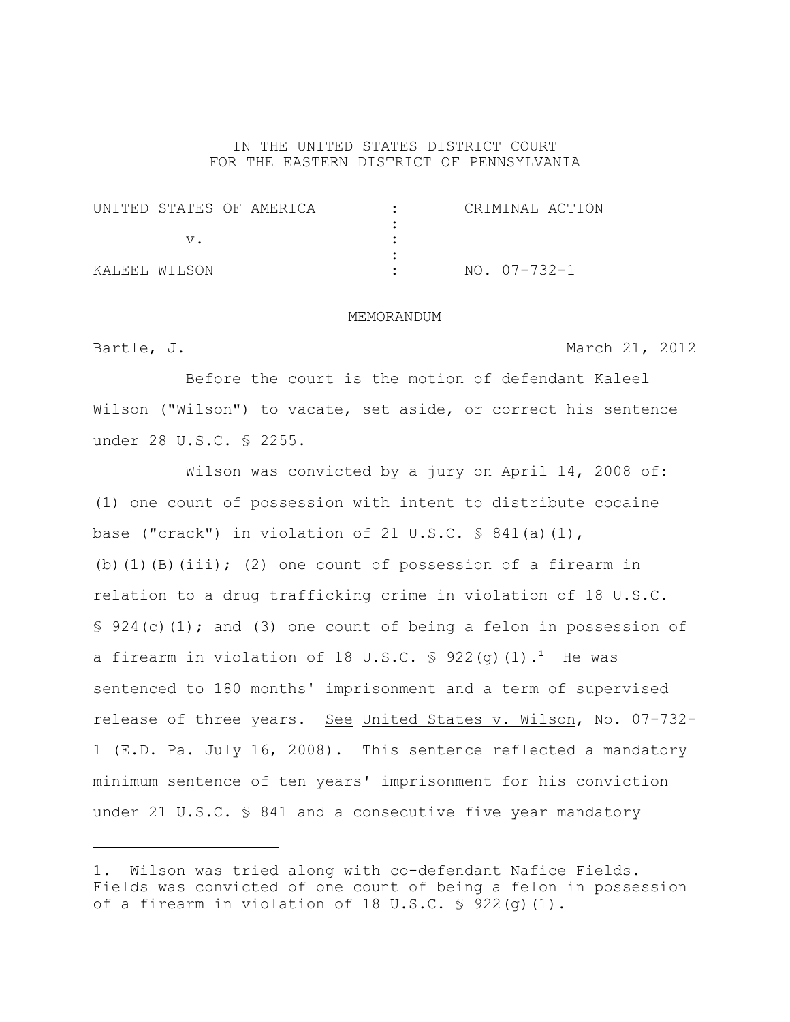### IN THE UNITED STATES DISTRICT COURT FOR THE EASTERN DISTRICT OF PENNSYLVANIA

| UNITED STATES OF AMERICA |  |  | CRIMINAL ACTION |  |
|--------------------------|--|--|-----------------|--|
|                          |  |  |                 |  |
|                          |  |  |                 |  |
|                          |  |  |                 |  |
| KALEEL WILSON            |  |  | NO. 07-732-1    |  |

#### MEMORANDUM

Bartle, J. March 21, 2012

Before the court is the motion of defendant Kaleel Wilson ("Wilson") to vacate, set aside, or correct his sentence under 28 U.S.C. § 2255.

Wilson was convicted by a jury on April 14, 2008 of: (1) one count of possession with intent to distribute cocaine base ("crack") in violation of 21 U.S.C.  $\frac{6}{5}$  841(a)(1), (b)(1)(B)(iii); (2) one count of possession of a firearm in relation to a drug trafficking crime in violation of 18 U.S.C.  $\S$  924(c)(1); and (3) one count of being a felon in possession of a firearm in violation of 18 U.S.C.  $\frac{6}{5}$  922(g)(1).<sup>1</sup> He was sentenced to 180 months' imprisonment and a term of supervised release of three years. See United States v. Wilson, No. 07-732-1 (E.D. Pa. July 16, 2008). This sentence reflected a mandatory minimum sentence of ten years' imprisonment for his conviction under 21 U.S.C. § 841 and a consecutive five year mandatory

<sup>1.</sup> Wilson was tried along with co-defendant Nafice Fields. Fields was convicted of one count of being a felon in possession of a firearm in violation of 18 U.S.C.  $\frac{6}{5}$  922(g)(1).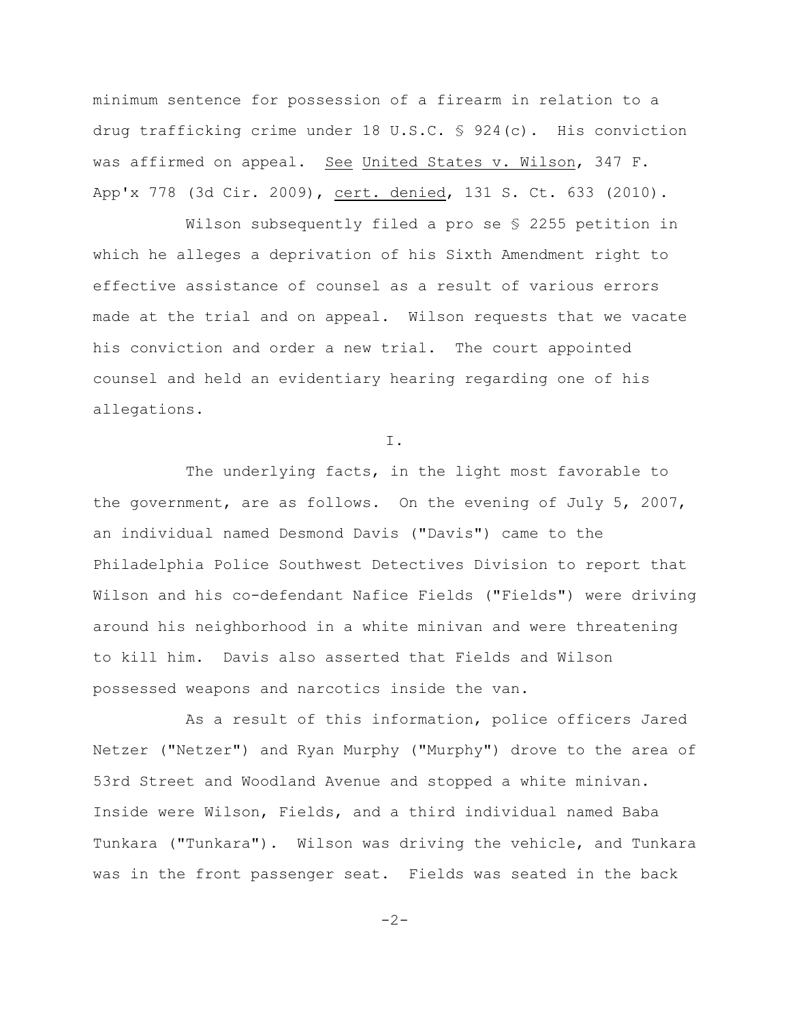minimum sentence for possession of a firearm in relation to a drug trafficking crime under 18 U.S.C. § 924(c). His conviction was affirmed on appeal. See United States v. Wilson, 347 F. App'x 778 (3d Cir. 2009), cert. denied, 131 S. Ct. 633 (2010).

Wilson subsequently filed a pro se § 2255 petition in which he alleges a deprivation of his Sixth Amendment right to effective assistance of counsel as a result of various errors made at the trial and on appeal. Wilson requests that we vacate his conviction and order a new trial. The court appointed counsel and held an evidentiary hearing regarding one of his allegations.

I.

The underlying facts, in the light most favorable to the government, are as follows. On the evening of July 5, 2007, an individual named Desmond Davis ("Davis") came to the Philadelphia Police Southwest Detectives Division to report that Wilson and his co-defendant Nafice Fields ("Fields") were driving around his neighborhood in a white minivan and were threatening to kill him. Davis also asserted that Fields and Wilson possessed weapons and narcotics inside the van.

As a result of this information, police officers Jared Netzer ("Netzer") and Ryan Murphy ("Murphy") drove to the area of 53rd Street and Woodland Avenue and stopped a white minivan. Inside were Wilson, Fields, and a third individual named Baba Tunkara ("Tunkara"). Wilson was driving the vehicle, and Tunkara was in the front passenger seat. Fields was seated in the back

 $-2-$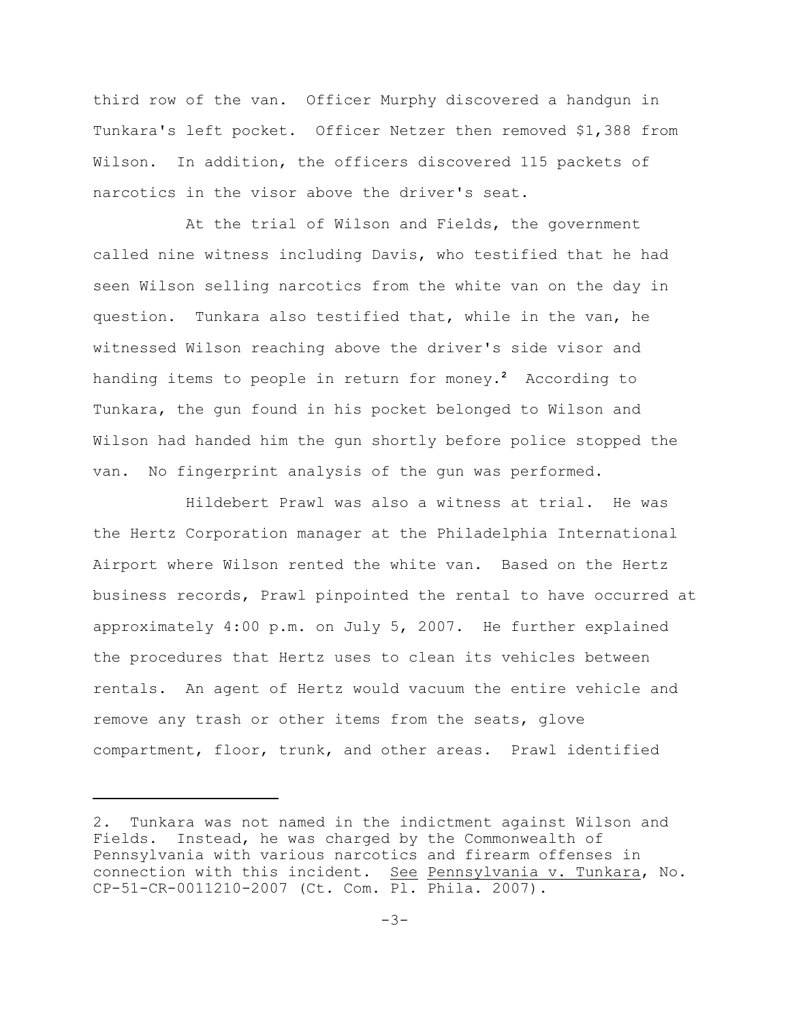third row of the van. Officer Murphy discovered a handgun in Tunkara's left pocket. Officer Netzer then removed \$1,388 from Wilson. In addition, the officers discovered 115 packets of narcotics in the visor above the driver's seat.

At the trial of Wilson and Fields, the government called nine witness including Davis, who testified that he had seen Wilson selling narcotics from the white van on the day in question. Tunkara also testified that, while in the van, he witnessed Wilson reaching above the driver's side visor and handing items to people in return for money. According to **<sup>2</sup>** Tunkara, the gun found in his pocket belonged to Wilson and Wilson had handed him the gun shortly before police stopped the van. No fingerprint analysis of the gun was performed.

Hildebert Prawl was also a witness at trial. He was the Hertz Corporation manager at the Philadelphia International Airport where Wilson rented the white van. Based on the Hertz business records, Prawl pinpointed the rental to have occurred at approximately 4:00 p.m. on July 5, 2007. He further explained the procedures that Hertz uses to clean its vehicles between rentals. An agent of Hertz would vacuum the entire vehicle and remove any trash or other items from the seats, glove compartment, floor, trunk, and other areas. Prawl identified

<sup>2.</sup> Tunkara was not named in the indictment against Wilson and Fields. Instead, he was charged by the Commonwealth of Pennsylvania with various narcotics and firearm offenses in connection with this incident. See Pennsylvania v. Tunkara, No. CP-51-CR-0011210-2007 (Ct. Com. Pl. Phila. 2007).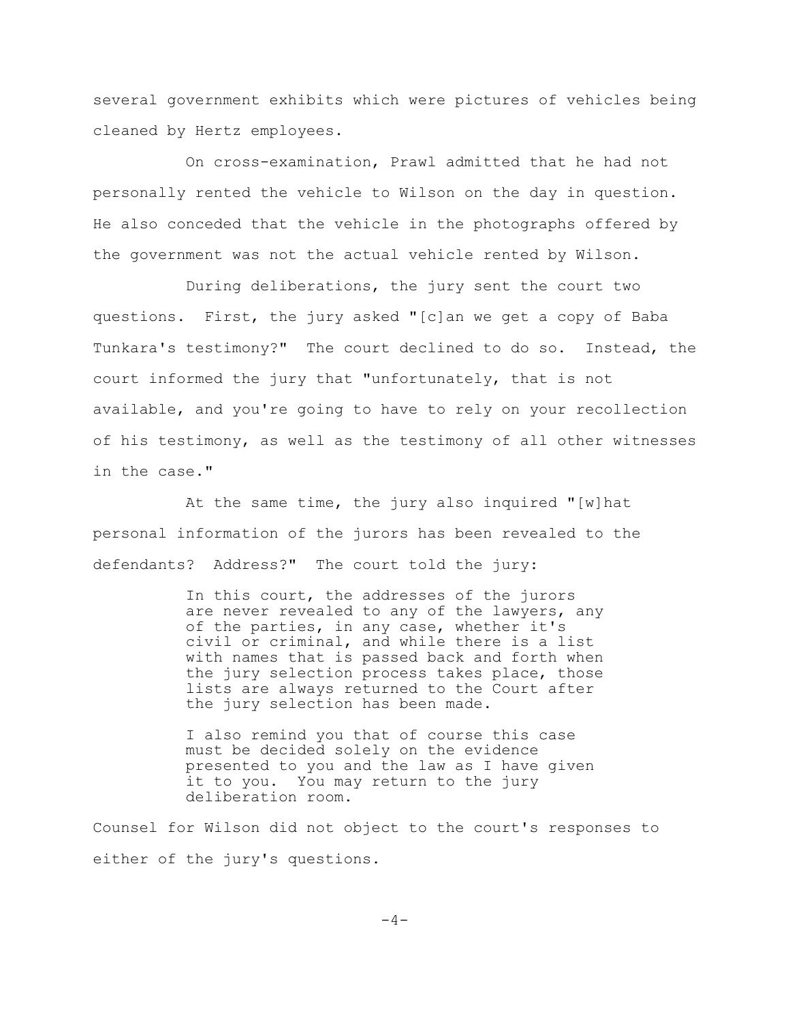several government exhibits which were pictures of vehicles being cleaned by Hertz employees.

On cross-examination, Prawl admitted that he had not personally rented the vehicle to Wilson on the day in question. He also conceded that the vehicle in the photographs offered by the government was not the actual vehicle rented by Wilson.

During deliberations, the jury sent the court two questions. First, the jury asked "[c]an we get a copy of Baba Tunkara's testimony?" The court declined to do so. Instead, the court informed the jury that "unfortunately, that is not available, and you're going to have to rely on your recollection of his testimony, as well as the testimony of all other witnesses in the case."

At the same time, the jury also inquired "[w]hat personal information of the jurors has been revealed to the defendants? Address?" The court told the jury:

> In this court, the addresses of the jurors are never revealed to any of the lawyers, any of the parties, in any case, whether it's civil or criminal, and while there is a list with names that is passed back and forth when the jury selection process takes place, those lists are always returned to the Court after the jury selection has been made.

I also remind you that of course this case must be decided solely on the evidence presented to you and the law as I have given it to you. You may return to the jury deliberation room.

Counsel for Wilson did not object to the court's responses to either of the jury's questions.

 $-4-$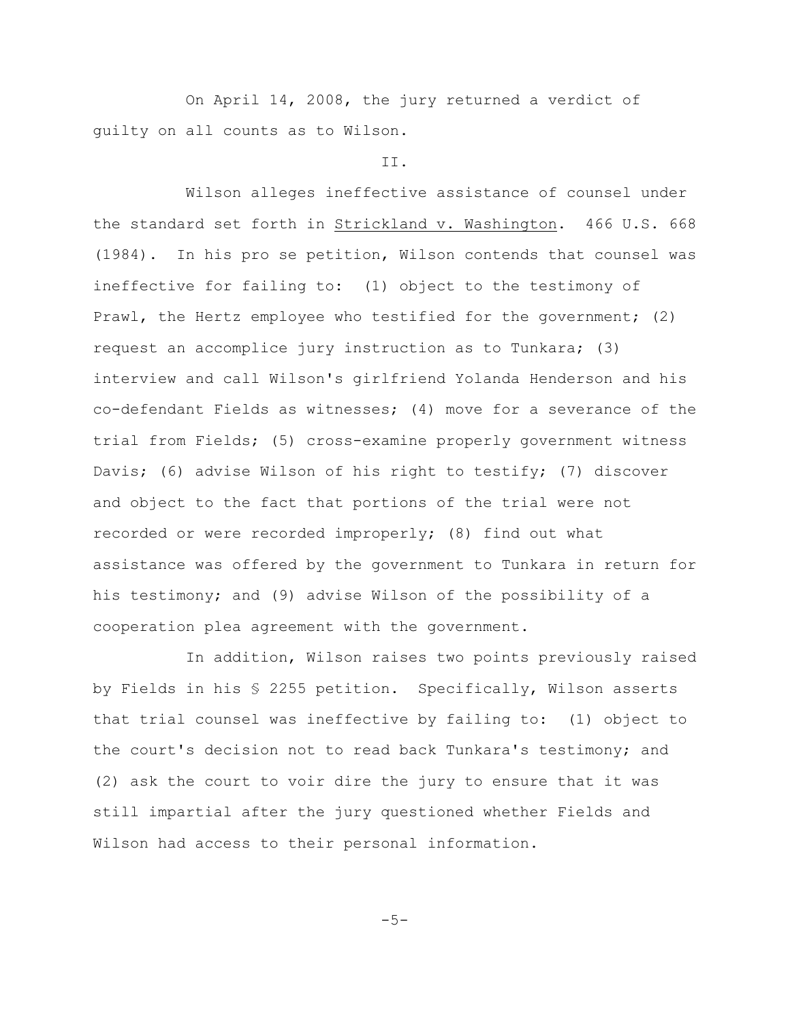On April 14, 2008, the jury returned a verdict of guilty on all counts as to Wilson.

### II.

Wilson alleges ineffective assistance of counsel under the standard set forth in Strickland v. Washington. 466 U.S. 668 (1984). In his pro se petition, Wilson contends that counsel was ineffective for failing to: (1) object to the testimony of Prawl, the Hertz employee who testified for the government; (2) request an accomplice jury instruction as to Tunkara; (3) interview and call Wilson's girlfriend Yolanda Henderson and his co-defendant Fields as witnesses; (4) move for a severance of the trial from Fields; (5) cross-examine properly government witness Davis; (6) advise Wilson of his right to testify; (7) discover and object to the fact that portions of the trial were not recorded or were recorded improperly; (8) find out what assistance was offered by the government to Tunkara in return for his testimony; and (9) advise Wilson of the possibility of a cooperation plea agreement with the government.

In addition, Wilson raises two points previously raised by Fields in his § 2255 petition. Specifically, Wilson asserts that trial counsel was ineffective by failing to: (1) object to the court's decision not to read back Tunkara's testimony; and (2) ask the court to voir dire the jury to ensure that it was still impartial after the jury questioned whether Fields and Wilson had access to their personal information.

 $-5-$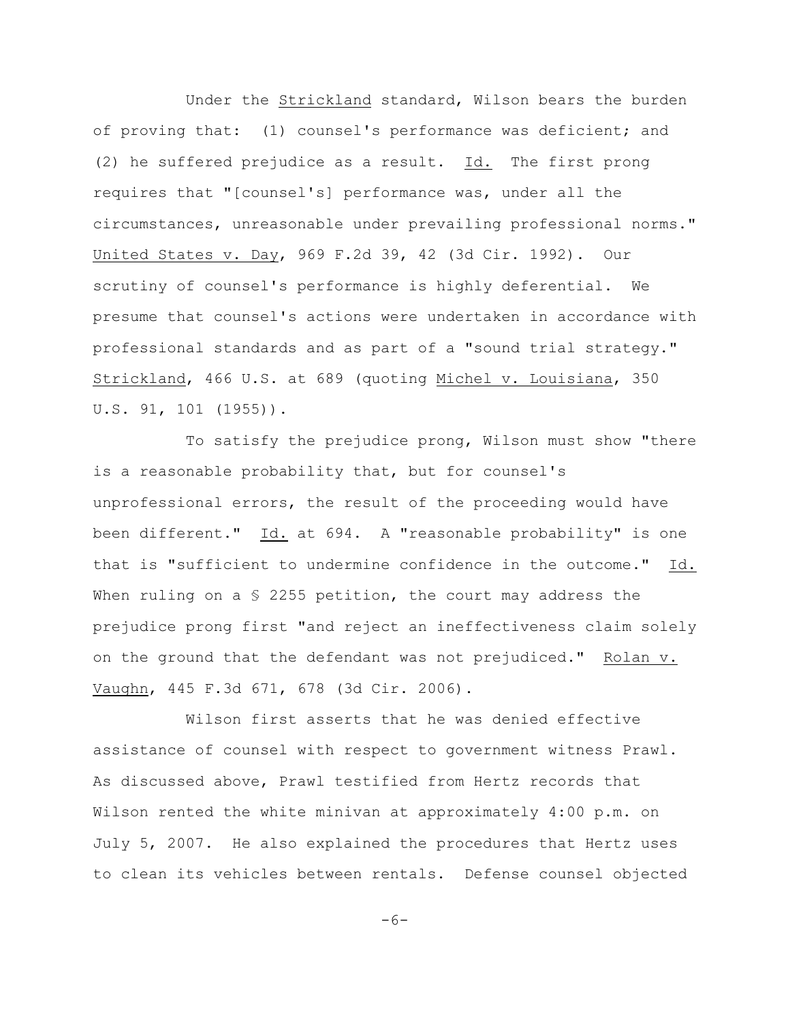Under the Strickland standard, Wilson bears the burden of proving that: (1) counsel's performance was deficient; and (2) he suffered prejudice as a result. Id. The first prong requires that "[counsel's] performance was, under all the circumstances, unreasonable under prevailing professional norms." United States v. Day, 969 F.2d 39, 42 (3d Cir. 1992). Our scrutiny of counsel's performance is highly deferential. We presume that counsel's actions were undertaken in accordance with professional standards and as part of a "sound trial strategy." Strickland, 466 U.S. at 689 (quoting Michel v. Louisiana, 350 U.S. 91, 101 (1955)).

To satisfy the prejudice prong, Wilson must show "there is a reasonable probability that, but for counsel's unprofessional errors, the result of the proceeding would have been different." Id. at 694. A "reasonable probability" is one that is "sufficient to undermine confidence in the outcome." Id. When ruling on a  $S$  2255 petition, the court may address the prejudice prong first "and reject an ineffectiveness claim solely on the ground that the defendant was not prejudiced." Rolan v. Vaughn, 445 F.3d 671, 678 (3d Cir. 2006).

Wilson first asserts that he was denied effective assistance of counsel with respect to government witness Prawl. As discussed above, Prawl testified from Hertz records that Wilson rented the white minivan at approximately 4:00 p.m. on July 5, 2007. He also explained the procedures that Hertz uses to clean its vehicles between rentals. Defense counsel objected

 $-6-$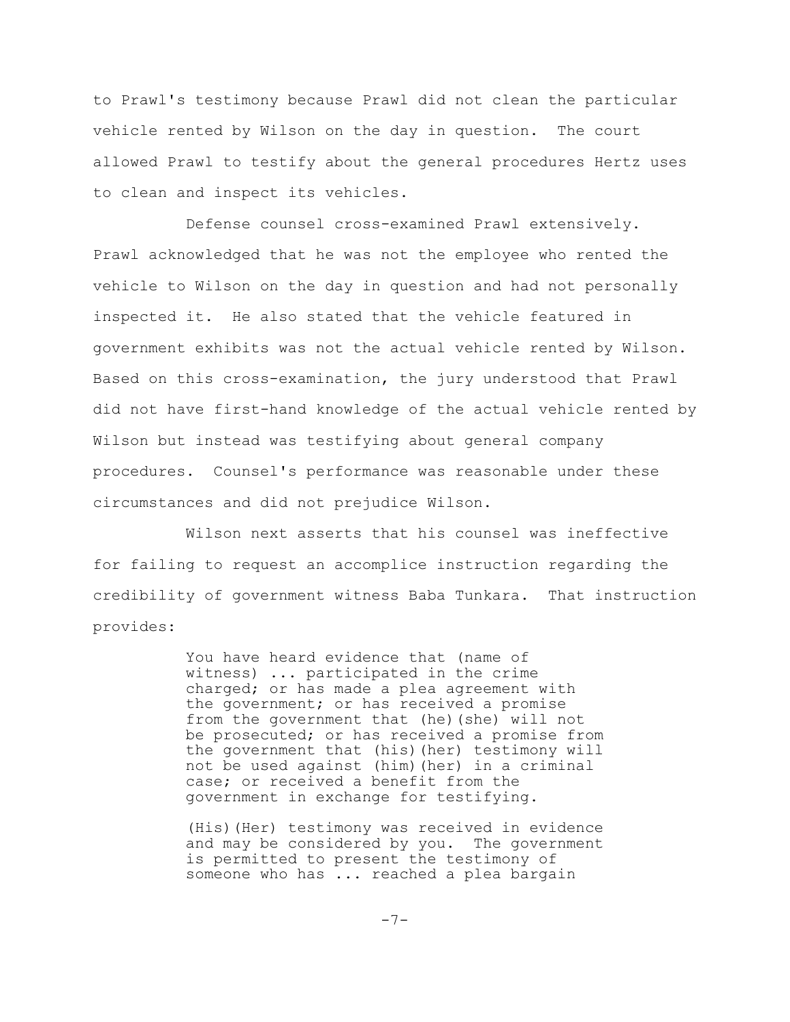to Prawl's testimony because Prawl did not clean the particular vehicle rented by Wilson on the day in question. The court allowed Prawl to testify about the general procedures Hertz uses to clean and inspect its vehicles.

Defense counsel cross-examined Prawl extensively. Prawl acknowledged that he was not the employee who rented the vehicle to Wilson on the day in question and had not personally inspected it. He also stated that the vehicle featured in government exhibits was not the actual vehicle rented by Wilson. Based on this cross-examination, the jury understood that Prawl did not have first-hand knowledge of the actual vehicle rented by Wilson but instead was testifying about general company procedures. Counsel's performance was reasonable under these circumstances and did not prejudice Wilson.

Wilson next asserts that his counsel was ineffective for failing to request an accomplice instruction regarding the credibility of government witness Baba Tunkara. That instruction provides:

> You have heard evidence that (name of witness) ... participated in the crime charged; or has made a plea agreement with the government; or has received a promise from the government that (he)(she) will not be prosecuted; or has received a promise from the government that (his)(her) testimony will not be used against (him)(her) in a criminal case; or received a benefit from the government in exchange for testifying.

> (His)(Her) testimony was received in evidence and may be considered by you. The government is permitted to present the testimony of someone who has ... reached a plea bargain

> > -7-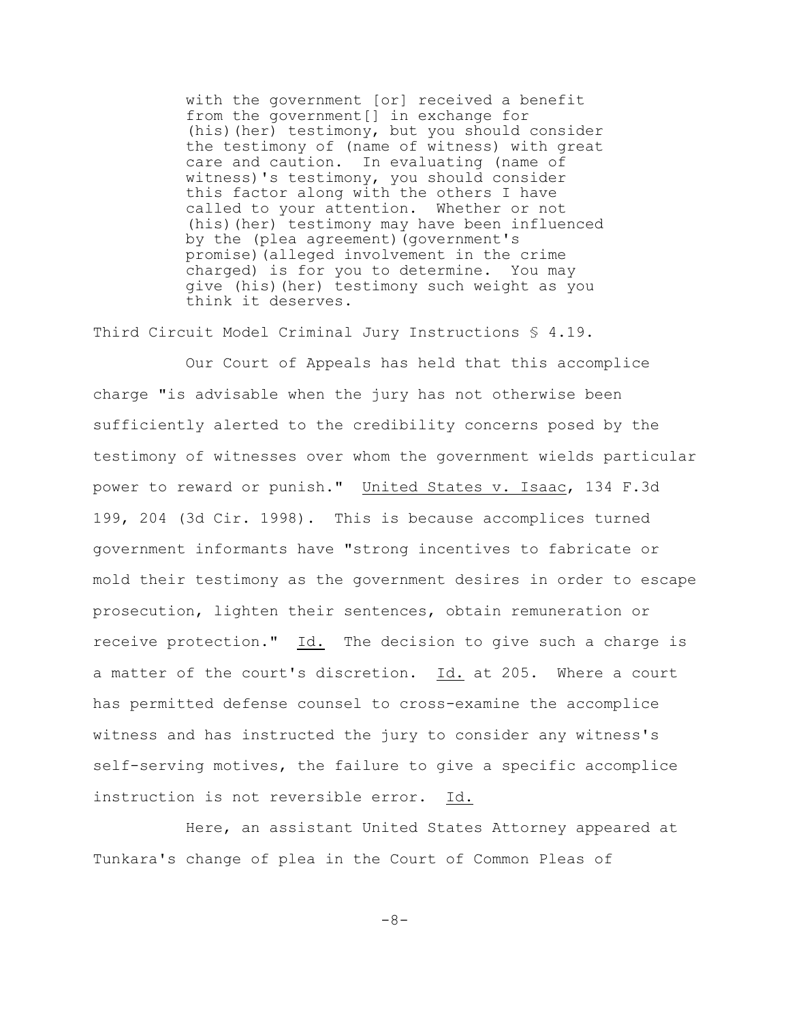with the government [or] received a benefit from the government[] in exchange for (his)(her) testimony, but you should consider the testimony of (name of witness) with great care and caution. In evaluating (name of witness)'s testimony, you should consider this factor along with the others I have called to your attention. Whether or not (his)(her) testimony may have been influenced by the (plea agreement)(government's promise)(alleged involvement in the crime charged) is for you to determine. You may give (his)(her) testimony such weight as you think it deserves.

Third Circuit Model Criminal Jury Instructions § 4.19.

Our Court of Appeals has held that this accomplice charge "is advisable when the jury has not otherwise been sufficiently alerted to the credibility concerns posed by the testimony of witnesses over whom the government wields particular power to reward or punish." United States v. Isaac, 134 F.3d 199, 204 (3d Cir. 1998). This is because accomplices turned government informants have "strong incentives to fabricate or mold their testimony as the government desires in order to escape prosecution, lighten their sentences, obtain remuneration or receive protection." Id. The decision to give such a charge is a matter of the court's discretion. Id. at 205. Where a court has permitted defense counsel to cross-examine the accomplice witness and has instructed the jury to consider any witness's self-serving motives, the failure to give a specific accomplice instruction is not reversible error. Id.

Here, an assistant United States Attorney appeared at Tunkara's change of plea in the Court of Common Pleas of

-8-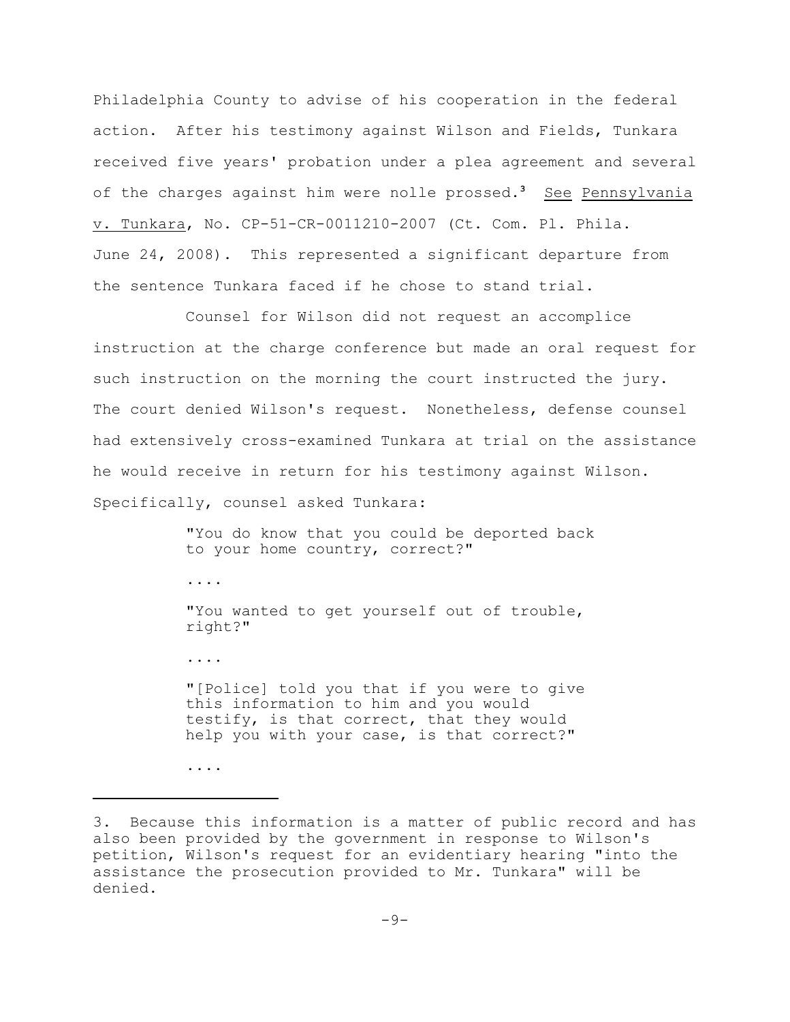Philadelphia County to advise of his cooperation in the federal action. After his testimony against Wilson and Fields, Tunkara received five years' probation under a plea agreement and several of the charges against him were nolle prossed.<sup>3</sup> See Pennsylvania v. Tunkara, No. CP-51-CR-0011210-2007 (Ct. Com. Pl. Phila. June 24, 2008). This represented a significant departure from the sentence Tunkara faced if he chose to stand trial.

Counsel for Wilson did not request an accomplice instruction at the charge conference but made an oral request for such instruction on the morning the court instructed the jury. The court denied Wilson's request. Nonetheless, defense counsel had extensively cross-examined Tunkara at trial on the assistance he would receive in return for his testimony against Wilson. Specifically, counsel asked Tunkara:

> "You do know that you could be deported back to your home country, correct?"

"You wanted to get yourself out of trouble, right?"

"[Police] told you that if you were to give this information to him and you would testify, is that correct, that they would help you with your case, is that correct?"

....

....

....

<sup>3.</sup> Because this information is a matter of public record and has also been provided by the government in response to Wilson's petition, Wilson's request for an evidentiary hearing "into the assistance the prosecution provided to Mr. Tunkara" will be denied.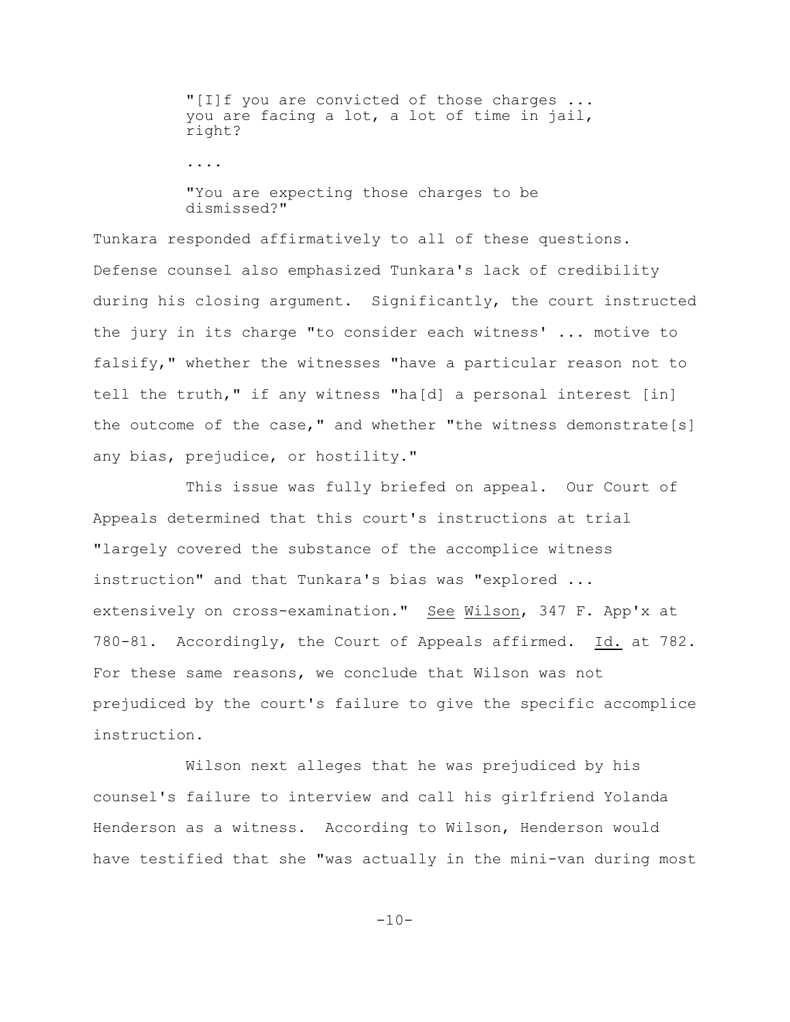"[I]f you are convicted of those charges ... you are facing a lot, a lot of time in jail, right?

....

"You are expecting those charges to be dismissed?"

Tunkara responded affirmatively to all of these questions. Defense counsel also emphasized Tunkara's lack of credibility during his closing argument. Significantly, the court instructed the jury in its charge "to consider each witness' ... motive to falsify," whether the witnesses "have a particular reason not to tell the truth," if any witness "ha[d] a personal interest [in] the outcome of the case," and whether "the witness demonstrate[s] any bias, prejudice, or hostility."

This issue was fully briefed on appeal. Our Court of Appeals determined that this court's instructions at trial "largely covered the substance of the accomplice witness instruction" and that Tunkara's bias was "explored ... extensively on cross-examination." See Wilson, 347 F. App'x at 780-81. Accordingly, the Court of Appeals affirmed. Id. at 782. For these same reasons, we conclude that Wilson was not prejudiced by the court's failure to give the specific accomplice instruction.

Wilson next alleges that he was prejudiced by his counsel's failure to interview and call his girlfriend Yolanda Henderson as a witness. According to Wilson, Henderson would have testified that she "was actually in the mini-van during most

 $-10-$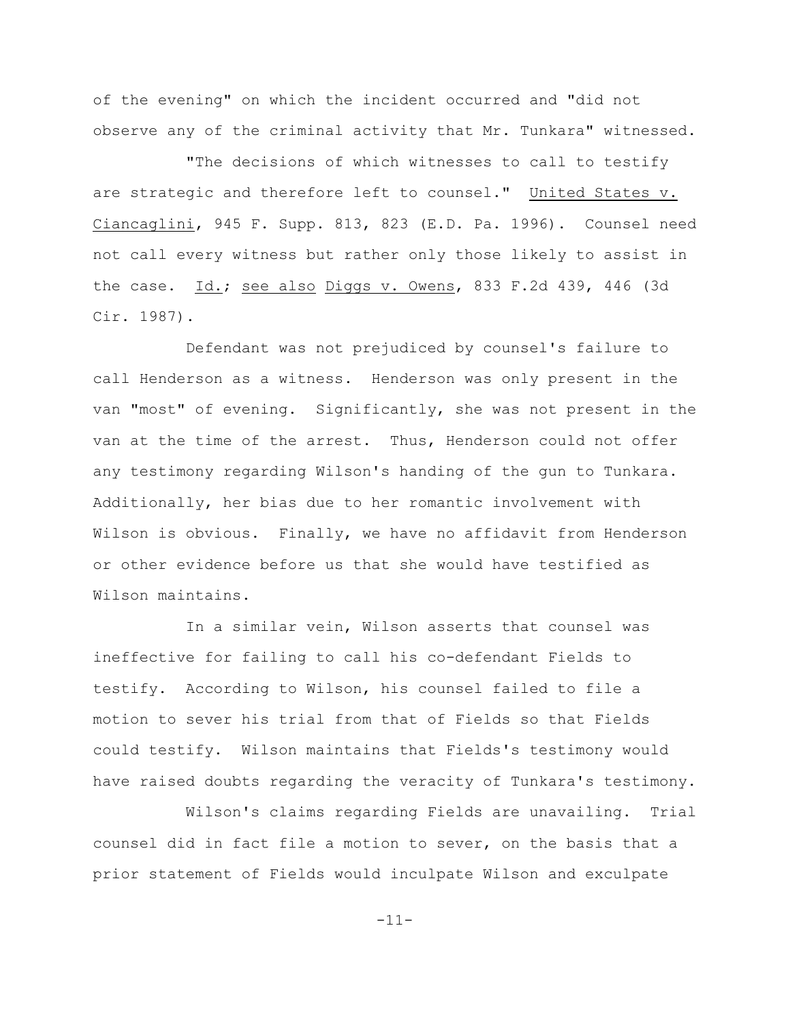of the evening" on which the incident occurred and "did not observe any of the criminal activity that Mr. Tunkara" witnessed.

"The decisions of which witnesses to call to testify are strategic and therefore left to counsel." United States v. Ciancaglini, 945 F. Supp. 813, 823 (E.D. Pa. 1996). Counsel need not call every witness but rather only those likely to assist in the case. Id.; see also Diggs v. Owens, 833 F.2d 439, 446 (3d Cir. 1987).

Defendant was not prejudiced by counsel's failure to call Henderson as a witness. Henderson was only present in the van "most" of evening. Significantly, she was not present in the van at the time of the arrest. Thus, Henderson could not offer any testimony regarding Wilson's handing of the gun to Tunkara. Additionally, her bias due to her romantic involvement with Wilson is obvious. Finally, we have no affidavit from Henderson or other evidence before us that she would have testified as Wilson maintains.

In a similar vein, Wilson asserts that counsel was ineffective for failing to call his co-defendant Fields to testify. According to Wilson, his counsel failed to file a motion to sever his trial from that of Fields so that Fields could testify. Wilson maintains that Fields's testimony would have raised doubts regarding the veracity of Tunkara's testimony.

Wilson's claims regarding Fields are unavailing. Trial counsel did in fact file a motion to sever, on the basis that a prior statement of Fields would inculpate Wilson and exculpate

-11-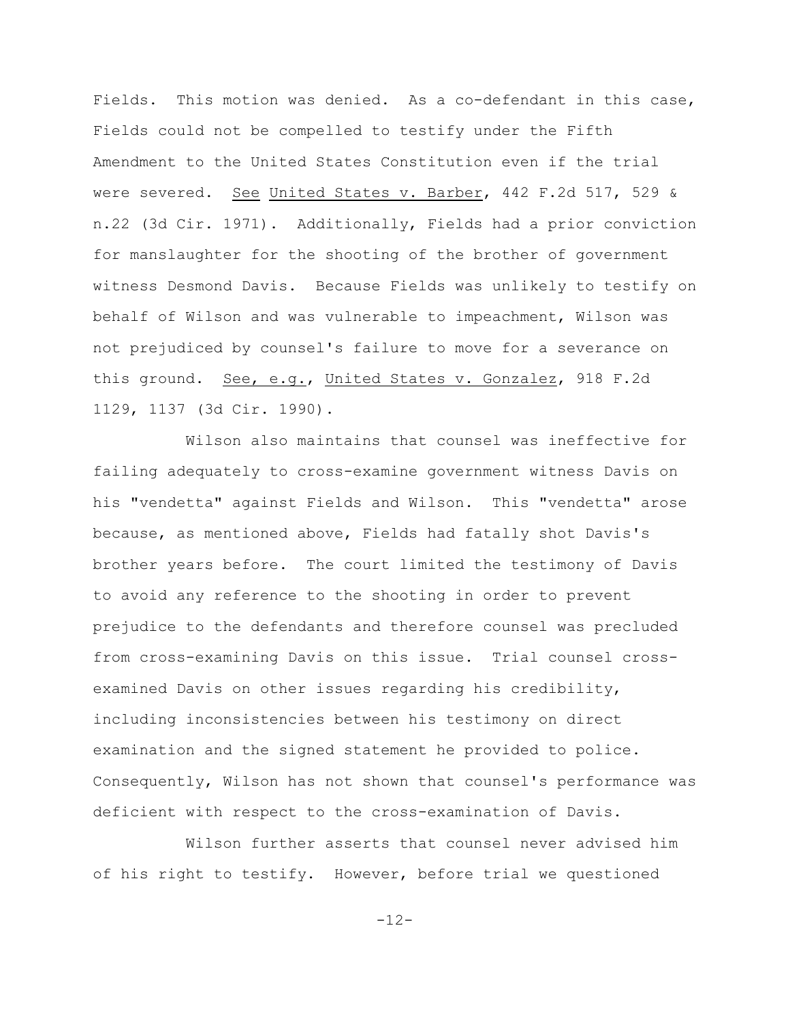Fields. This motion was denied. As a co-defendant in this case, Fields could not be compelled to testify under the Fifth Amendment to the United States Constitution even if the trial were severed. See United States v. Barber, 442 F.2d 517, 529 & n.22 (3d Cir. 1971). Additionally, Fields had a prior conviction for manslaughter for the shooting of the brother of government witness Desmond Davis. Because Fields was unlikely to testify on behalf of Wilson and was vulnerable to impeachment, Wilson was not prejudiced by counsel's failure to move for a severance on this ground. See, e.g., United States v. Gonzalez, 918 F.2d 1129, 1137 (3d Cir. 1990).

Wilson also maintains that counsel was ineffective for failing adequately to cross-examine government witness Davis on his "vendetta" against Fields and Wilson. This "vendetta" arose because, as mentioned above, Fields had fatally shot Davis's brother years before. The court limited the testimony of Davis to avoid any reference to the shooting in order to prevent prejudice to the defendants and therefore counsel was precluded from cross-examining Davis on this issue. Trial counsel crossexamined Davis on other issues regarding his credibility, including inconsistencies between his testimony on direct examination and the signed statement he provided to police. Consequently, Wilson has not shown that counsel's performance was deficient with respect to the cross-examination of Davis.

Wilson further asserts that counsel never advised him of his right to testify. However, before trial we questioned

 $-12-$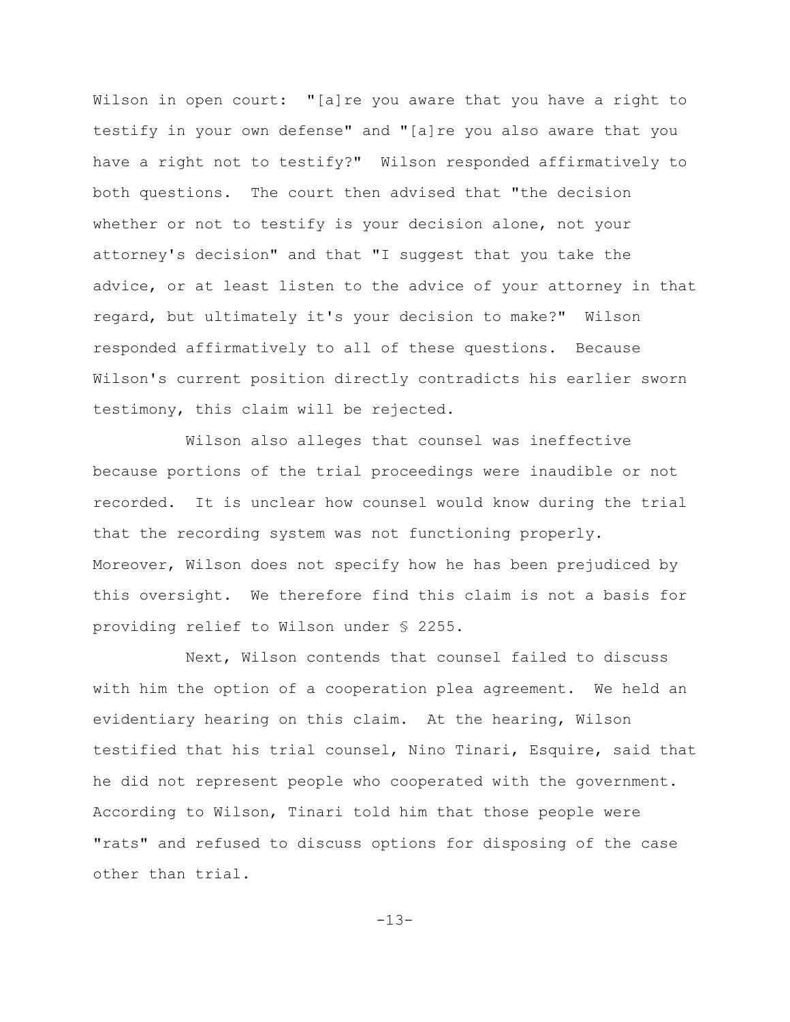Wilson in open court: "[a]re you aware that you have a right to testify in your own defense" and "[a]re you also aware that you have a right not to testify?" Wilson responded affirmatively to both questions. The court then advised that "the decision whether or not to testify is your decision alone, not your attorney's decision" and that "I suggest that you take the advice, or at least listen to the advice of your attorney in that regard, but ultimately it's your decision to make?" Wilson responded affirmatively to all of these questions. Because Wilson's current position directly contradicts his earlier sworn testimony, this claim will be rejected.

Wilson also alleges that counsel was ineffective because portions of the trial proceedings were inaudible or not recorded. It is unclear how counsel would know during the trial that the recording system was not functioning properly. Moreover, Wilson does not specify how he has been prejudiced by this oversight. We therefore find this claim is not a basis for providing relief to Wilson under § 2255.

Next, Wilson contends that counsel failed to discuss with him the option of a cooperation plea agreement. We held an evidentiary hearing on this claim. At the hearing, Wilson testified that his trial counsel, Nino Tinari, Esquire, said that he did not represent people who cooperated with the government. According to Wilson, Tinari told him that those people were "rats" and refused to discuss options for disposing of the case other than trial.

-13-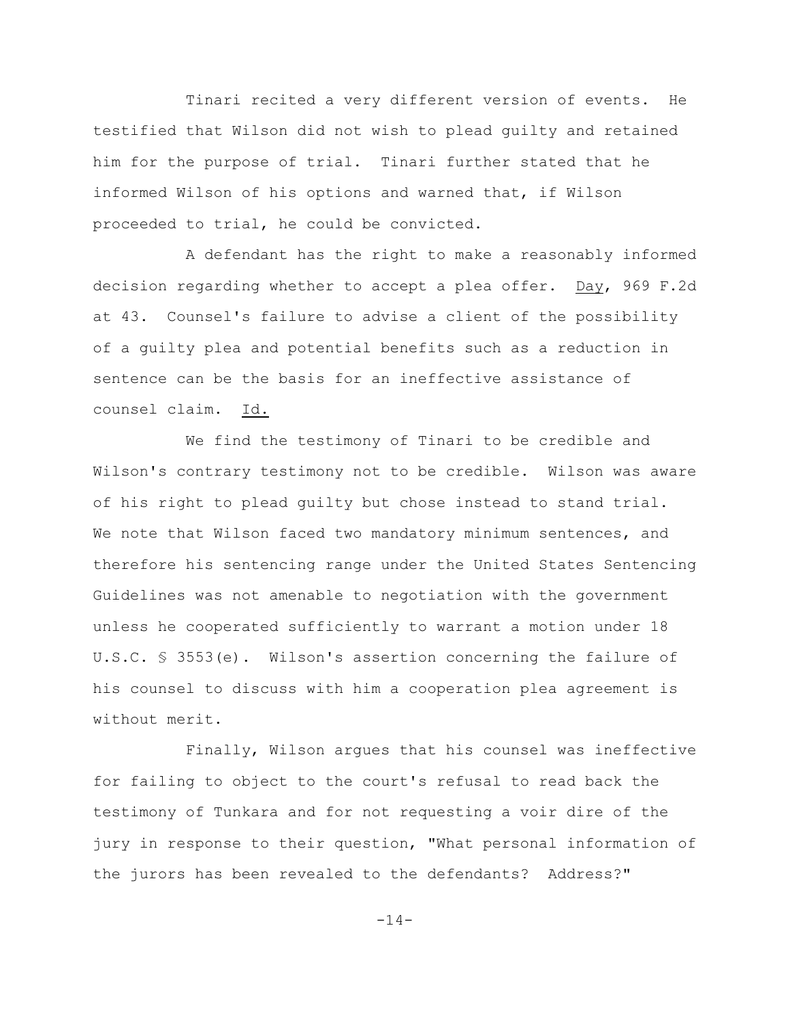Tinari recited a very different version of events. He testified that Wilson did not wish to plead guilty and retained him for the purpose of trial. Tinari further stated that he informed Wilson of his options and warned that, if Wilson proceeded to trial, he could be convicted.

A defendant has the right to make a reasonably informed decision regarding whether to accept a plea offer. Day, 969 F.2d at 43. Counsel's failure to advise a client of the possibility of a guilty plea and potential benefits such as a reduction in sentence can be the basis for an ineffective assistance of counsel claim. Id.

We find the testimony of Tinari to be credible and Wilson's contrary testimony not to be credible. Wilson was aware of his right to plead guilty but chose instead to stand trial. We note that Wilson faced two mandatory minimum sentences, and therefore his sentencing range under the United States Sentencing Guidelines was not amenable to negotiation with the government unless he cooperated sufficiently to warrant a motion under 18 U.S.C. § 3553(e). Wilson's assertion concerning the failure of his counsel to discuss with him a cooperation plea agreement is without merit.

Finally, Wilson argues that his counsel was ineffective for failing to object to the court's refusal to read back the testimony of Tunkara and for not requesting a voir dire of the jury in response to their question, "What personal information of the jurors has been revealed to the defendants? Address?"

-14-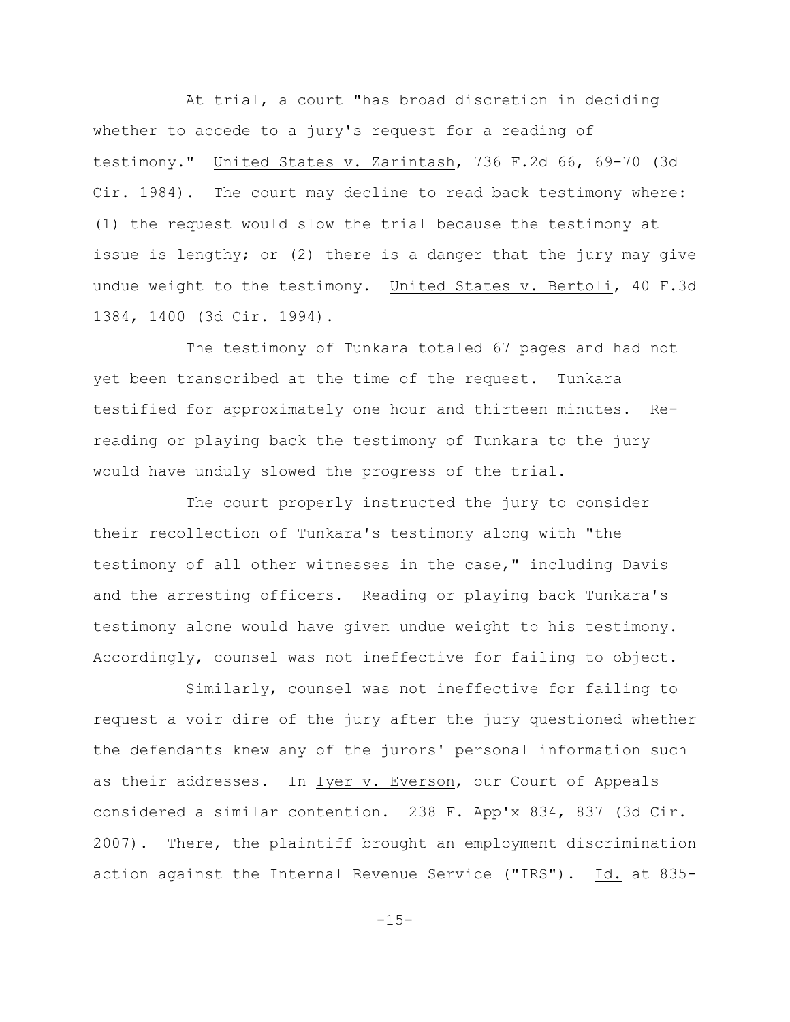At trial, a court "has broad discretion in deciding whether to accede to a jury's request for a reading of testimony." United States v. Zarintash, 736 F.2d 66, 69-70 (3d Cir. 1984). The court may decline to read back testimony where: (1) the request would slow the trial because the testimony at issue is lengthy; or (2) there is a danger that the jury may give undue weight to the testimony. United States v. Bertoli, 40 F.3d 1384, 1400 (3d Cir. 1994).

The testimony of Tunkara totaled 67 pages and had not yet been transcribed at the time of the request. Tunkara testified for approximately one hour and thirteen minutes. Rereading or playing back the testimony of Tunkara to the jury would have unduly slowed the progress of the trial.

The court properly instructed the jury to consider their recollection of Tunkara's testimony along with "the testimony of all other witnesses in the case," including Davis and the arresting officers. Reading or playing back Tunkara's testimony alone would have given undue weight to his testimony. Accordingly, counsel was not ineffective for failing to object.

Similarly, counsel was not ineffective for failing to request a voir dire of the jury after the jury questioned whether the defendants knew any of the jurors' personal information such as their addresses. In Iyer v. Everson, our Court of Appeals considered a similar contention. 238 F. App'x 834, 837 (3d Cir. 2007). There, the plaintiff brought an employment discrimination action against the Internal Revenue Service ("IRS"). Id. at 835-

 $-15-$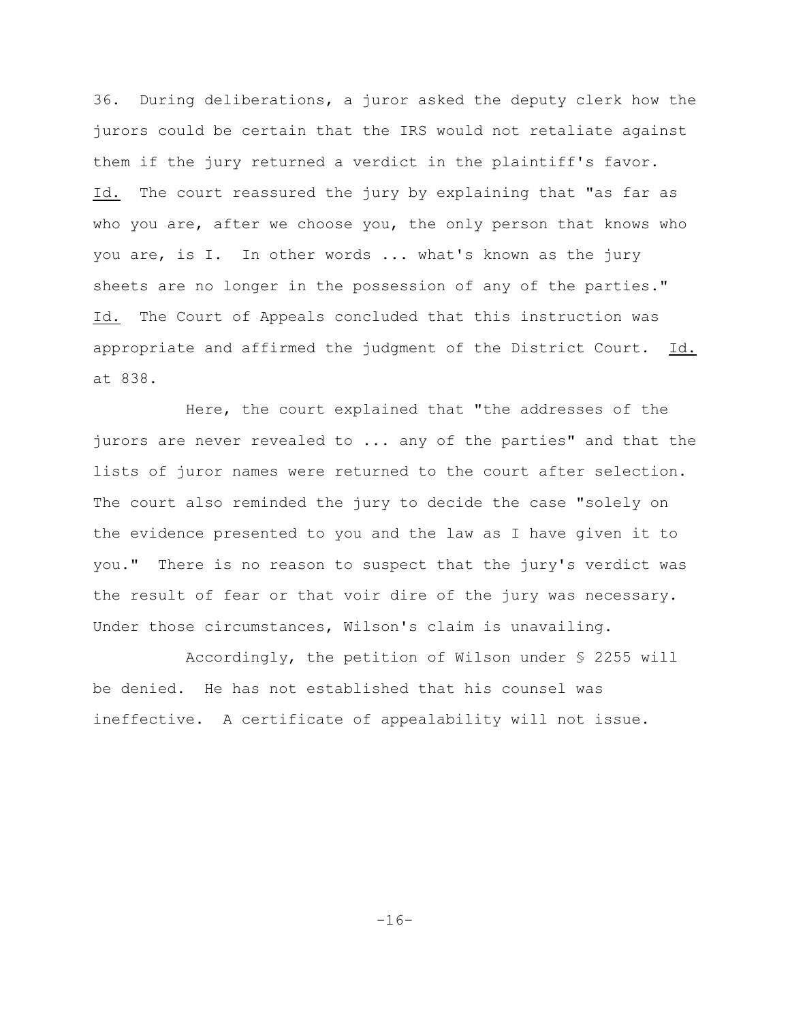36. During deliberations, a juror asked the deputy clerk how the jurors could be certain that the IRS would not retaliate against them if the jury returned a verdict in the plaintiff's favor. Id. The court reassured the jury by explaining that "as far as who you are, after we choose you, the only person that knows who you are, is I. In other words ... what's known as the jury sheets are no longer in the possession of any of the parties." Id. The Court of Appeals concluded that this instruction was appropriate and affirmed the judgment of the District Court. Id. at 838.

Here, the court explained that "the addresses of the jurors are never revealed to ... any of the parties" and that the lists of juror names were returned to the court after selection. The court also reminded the jury to decide the case "solely on the evidence presented to you and the law as I have given it to you." There is no reason to suspect that the jury's verdict was the result of fear or that voir dire of the jury was necessary. Under those circumstances, Wilson's claim is unavailing.

Accordingly, the petition of Wilson under § 2255 will be denied. He has not established that his counsel was ineffective. A certificate of appealability will not issue.

-16-